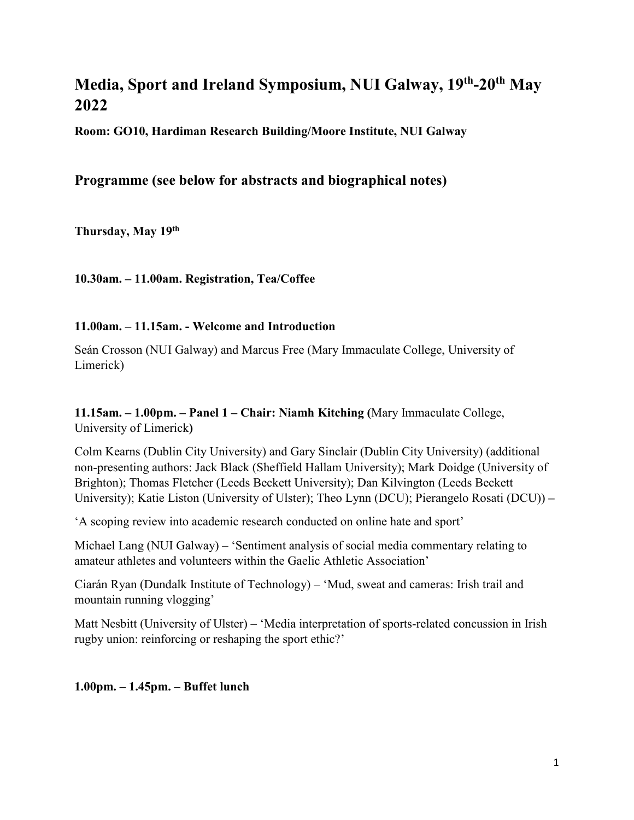# **Media, Sport and Ireland Symposium, NUI Galway, 19th-20th May 2022**

**Room: GO10, Hardiman Research Building/Moore Institute, NUI Galway**

## **Programme (see below for abstracts and biographical notes)**

**Thursday, May 19th**

**10.30am. – 11.00am. Registration, Tea/Coffee**

### **11.00am. – 11.15am. - Welcome and Introduction**

Seán Crosson (NUI Galway) and Marcus Free (Mary Immaculate College, University of Limerick)

**11.15am. – 1.00pm. – Panel 1 – Chair: Niamh Kitching (**Mary Immaculate College, University of Limerick**)**

Colm Kearns (Dublin City University) and Gary Sinclair (Dublin City University) (additional non-presenting authors: Jack Black (Sheffield Hallam University); Mark Doidge (University of Brighton); Thomas Fletcher (Leeds Beckett University); Dan Kilvington (Leeds Beckett University); Katie Liston (University of Ulster); Theo Lynn (DCU); Pierangelo Rosati (DCU)) **–**

'A scoping review into academic research conducted on online hate and sport'

Michael Lang (NUI Galway) – 'Sentiment analysis of social media commentary relating to amateur athletes and volunteers within the Gaelic Athletic Association'

Ciarán Ryan (Dundalk Institute of Technology) – 'Mud, sweat and cameras: Irish trail and mountain running vlogging'

Matt Nesbitt (University of Ulster) – 'Media interpretation of sports-related concussion in Irish rugby union: reinforcing or reshaping the sport ethic?'

**1.00pm. – 1.45pm. – Buffet lunch**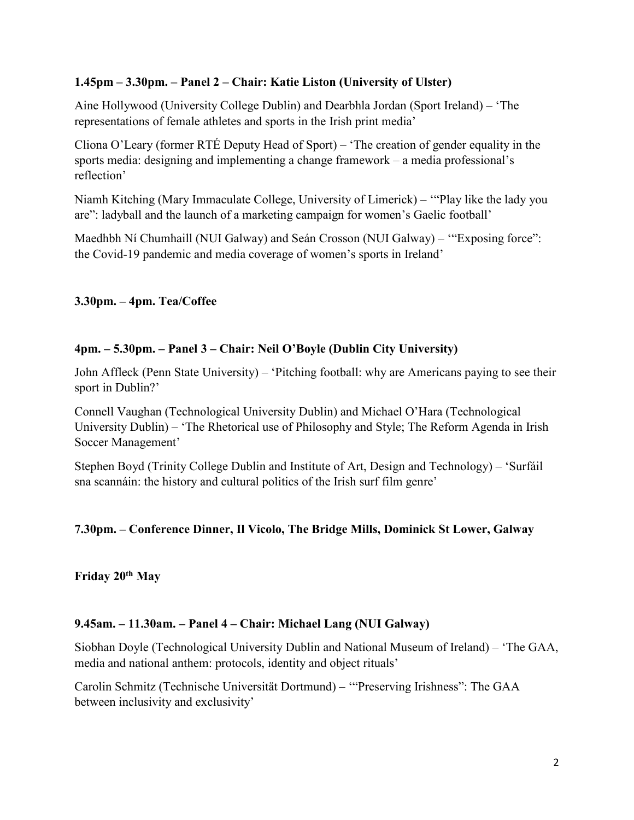### **1.45pm – 3.30pm. – Panel 2 – Chair: Katie Liston (University of Ulster)**

Aine Hollywood (University College Dublin) and Dearbhla Jordan (Sport Ireland) – 'The representations of female athletes and sports in the Irish print media'

Cliona O'Leary (former RTÉ Deputy Head of Sport) – 'The creation of gender equality in the sports media: designing and implementing a change framework – a media professional's reflection'

Niamh Kitching (Mary Immaculate College, University of Limerick) – '"Play like the lady you are": ladyball and the launch of a marketing campaign for women's Gaelic football'

Maedhbh Ní Chumhaill (NUI Galway) and Seán Crosson (NUI Galway) – '"Exposing force": the Covid-19 pandemic and media coverage of women's sports in Ireland'

### **3.30pm. – 4pm. Tea/Coffee**

### **4pm. – 5.30pm. – Panel 3 – Chair: Neil O'Boyle (Dublin City University)**

John Affleck (Penn State University) – 'Pitching football: why are Americans paying to see their sport in Dublin?'

Connell Vaughan (Technological University Dublin) and Michael O'Hara (Technological University Dublin) – 'The Rhetorical use of Philosophy and Style; The Reform Agenda in Irish Soccer Management'

Stephen Boyd (Trinity College Dublin and Institute of Art, Design and Technology) – 'Surfáil sna scannáin: the history and cultural politics of the Irish surf film genre'

### **7.30pm. – Conference Dinner, Il Vicolo, The Bridge Mills, Dominick St Lower, Galway**

**Friday 20th May**

### **9.45am. – 11.30am. – Panel 4 – Chair: Michael Lang (NUI Galway)**

Siobhan Doyle (Technological University Dublin and National Museum of Ireland) – 'The GAA, media and national anthem: protocols, identity and object rituals'

Carolin Schmitz (Technische Universität Dortmund) – '"Preserving Irishness": The GAA between inclusivity and exclusivity'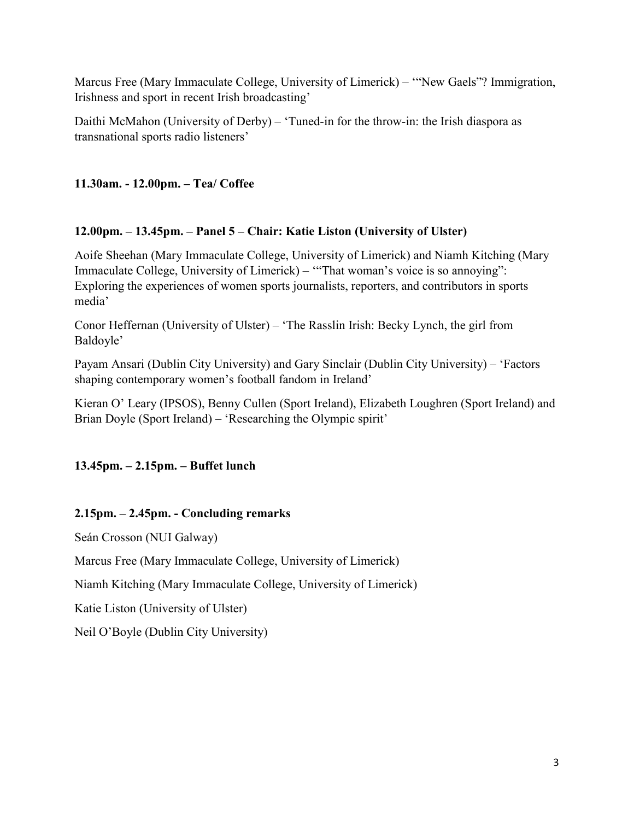Marcus Free (Mary Immaculate College, University of Limerick) – '"New Gaels"? Immigration, Irishness and sport in recent Irish broadcasting'

Daithi McMahon (University of Derby) – 'Tuned-in for the throw-in: the Irish diaspora as transnational sports radio listeners'

### **11.30am. - 12.00pm. – Tea/ Coffee**

### **12.00pm. – 13.45pm. – Panel 5 – Chair: Katie Liston (University of Ulster)**

Aoife Sheehan (Mary Immaculate College, University of Limerick) and Niamh Kitching (Mary Immaculate College, University of Limerick) – '"That woman's voice is so annoying": Exploring the experiences of women sports journalists, reporters, and contributors in sports media'

Conor Heffernan (University of Ulster) – 'The Rasslin Irish: Becky Lynch, the girl from Baldoyle'

Payam Ansari (Dublin City University) and Gary Sinclair (Dublin City University) – 'Factors shaping contemporary women's football fandom in Ireland'

Kieran O' Leary (IPSOS), Benny Cullen (Sport Ireland), Elizabeth Loughren (Sport Ireland) and Brian Doyle (Sport Ireland) – 'Researching the Olympic spirit'

### **13.45pm. – 2.15pm. – Buffet lunch**

### **2.15pm. – 2.45pm. - Concluding remarks**

Seán Crosson (NUI Galway)

Marcus Free (Mary Immaculate College, University of Limerick)

Niamh Kitching (Mary Immaculate College, University of Limerick)

Katie Liston (University of Ulster)

Neil O'Boyle (Dublin City University)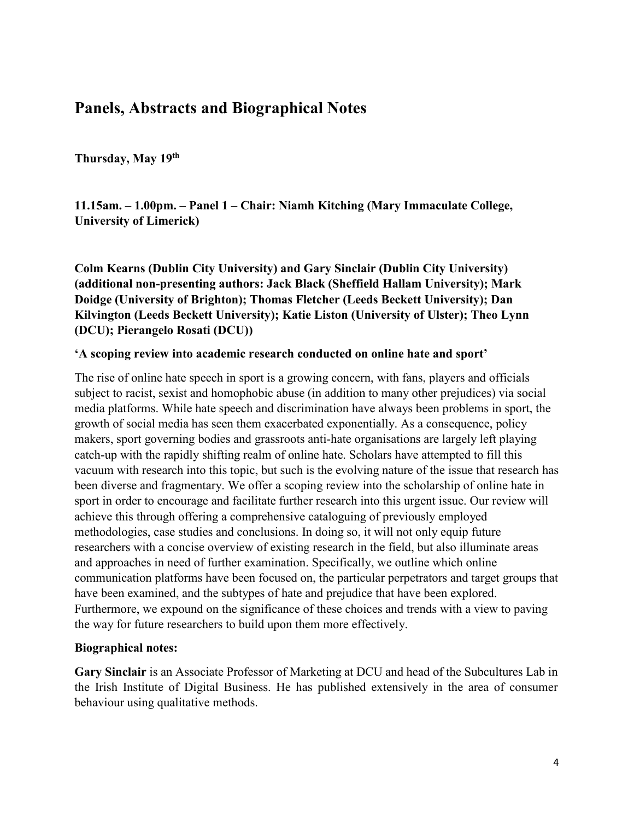# **Panels, Abstracts and Biographical Notes**

**Thursday, May 19th**

**11.15am. – 1.00pm. – Panel 1 – Chair: Niamh Kitching (Mary Immaculate College, University of Limerick)**

**Colm Kearns (Dublin City University) and Gary Sinclair (Dublin City University) (additional non-presenting authors: Jack Black (Sheffield Hallam University); Mark Doidge (University of Brighton); Thomas Fletcher (Leeds Beckett University); Dan Kilvington (Leeds Beckett University); Katie Liston (University of Ulster); Theo Lynn (DCU); Pierangelo Rosati (DCU))**

#### **'A scoping review into academic research conducted on online hate and sport'**

The rise of online hate speech in sport is a growing concern, with fans, players and officials subject to racist, sexist and homophobic abuse (in addition to many other prejudices) via social media platforms. While hate speech and discrimination have always been problems in sport, the growth of social media has seen them exacerbated exponentially. As a consequence, policy makers, sport governing bodies and grassroots anti-hate organisations are largely left playing catch-up with the rapidly shifting realm of online hate. Scholars have attempted to fill this vacuum with research into this topic, but such is the evolving nature of the issue that research has been diverse and fragmentary. We offer a scoping review into the scholarship of online hate in sport in order to encourage and facilitate further research into this urgent issue. Our review will achieve this through offering a comprehensive cataloguing of previously employed methodologies, case studies and conclusions. In doing so, it will not only equip future researchers with a concise overview of existing research in the field, but also illuminate areas and approaches in need of further examination. Specifically, we outline which online communication platforms have been focused on, the particular perpetrators and target groups that have been examined, and the subtypes of hate and prejudice that have been explored. Furthermore, we expound on the significance of these choices and trends with a view to paving the way for future researchers to build upon them more effectively.

#### **Biographical notes:**

**Gary Sinclair** is an Associate Professor of Marketing at DCU and head of the Subcultures Lab in the Irish Institute of Digital Business. He has published extensively in the area of consumer behaviour using qualitative methods.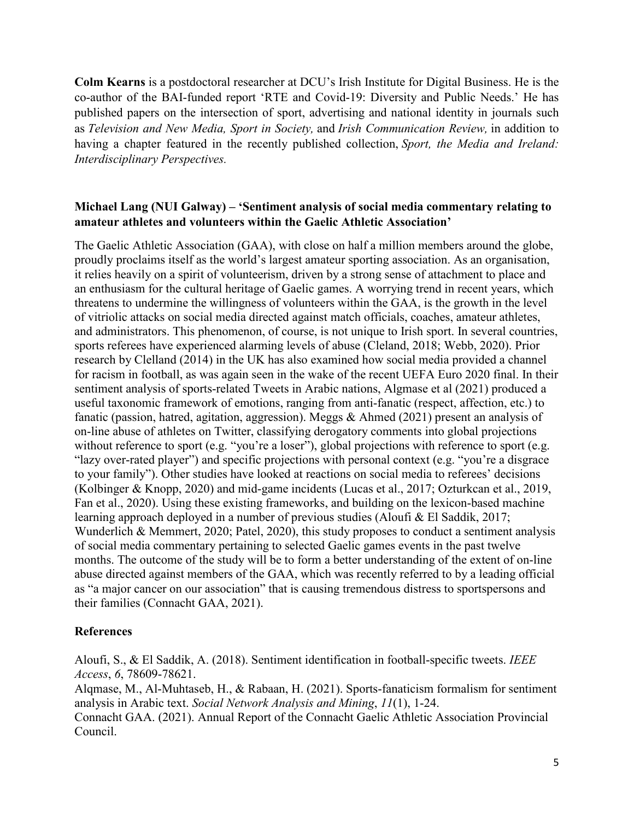**Colm Kearns** is a postdoctoral researcher at DCU's Irish Institute for Digital Business. He is the co-author of the BAI-funded report 'RTE and Covid-19: Diversity and Public Needs.' He has published papers on the intersection of sport, advertising and national identity in journals such as *Television and New Media, Sport in Society,* and *Irish Communication Review,* in addition to having a chapter featured in the recently published collection, *Sport, the Media and Ireland: Interdisciplinary Perspectives.*

### **Michael Lang (NUI Galway) – 'Sentiment analysis of social media commentary relating to amateur athletes and volunteers within the Gaelic Athletic Association'**

The Gaelic Athletic Association (GAA), with close on half a million members around the globe, proudly proclaims itself as the world's largest amateur sporting association. As an organisation, it relies heavily on a spirit of volunteerism, driven by a strong sense of attachment to place and an enthusiasm for the cultural heritage of Gaelic games. A worrying trend in recent years, which threatens to undermine the willingness of volunteers within the GAA, is the growth in the level of vitriolic attacks on social media directed against match officials, coaches, amateur athletes, and administrators. This phenomenon, of course, is not unique to Irish sport. In several countries, sports referees have experienced alarming levels of abuse (Cleland, 2018; Webb, 2020). Prior research by Clelland (2014) in the UK has also examined how social media provided a channel for racism in football, as was again seen in the wake of the recent UEFA Euro 2020 final. In their sentiment analysis of sports-related Tweets in Arabic nations, Algmase et al (2021) produced a useful taxonomic framework of emotions, ranging from anti-fanatic (respect, affection, etc.) to fanatic (passion, hatred, agitation, aggression). Meggs & Ahmed (2021) present an analysis of on-line abuse of athletes on Twitter, classifying derogatory comments into global projections without reference to sport (e.g. "you're a loser"), global projections with reference to sport (e.g. "lazy over-rated player") and specific projections with personal context (e.g. "you're a disgrace to your family"). Other studies have looked at reactions on social media to referees' decisions (Kolbinger & Knopp, 2020) and mid-game incidents (Lucas et al., 2017; Ozturkcan et al., 2019, Fan et al., 2020). Using these existing frameworks, and building on the lexicon-based machine learning approach deployed in a number of previous studies (Aloufi & El Saddik, 2017; Wunderlich & Memmert, 2020; Patel, 2020), this study proposes to conduct a sentiment analysis of social media commentary pertaining to selected Gaelic games events in the past twelve months. The outcome of the study will be to form a better understanding of the extent of on-line abuse directed against members of the GAA, which was recently referred to by a leading official as "a major cancer on our association" that is causing tremendous distress to sportspersons and their families (Connacht GAA, 2021).

### **References**

Aloufi, S., & El Saddik, A. (2018). Sentiment identification in football-specific tweets. *IEEE Access*, *6*, 78609-78621.

Alqmase, M., Al-Muhtaseb, H., & Rabaan, H. (2021). Sports-fanaticism formalism for sentiment analysis in Arabic text. *Social Network Analysis and Mining*, *11*(1), 1-24. Connacht GAA. (2021). Annual Report of the Connacht Gaelic Athletic Association Provincial Council.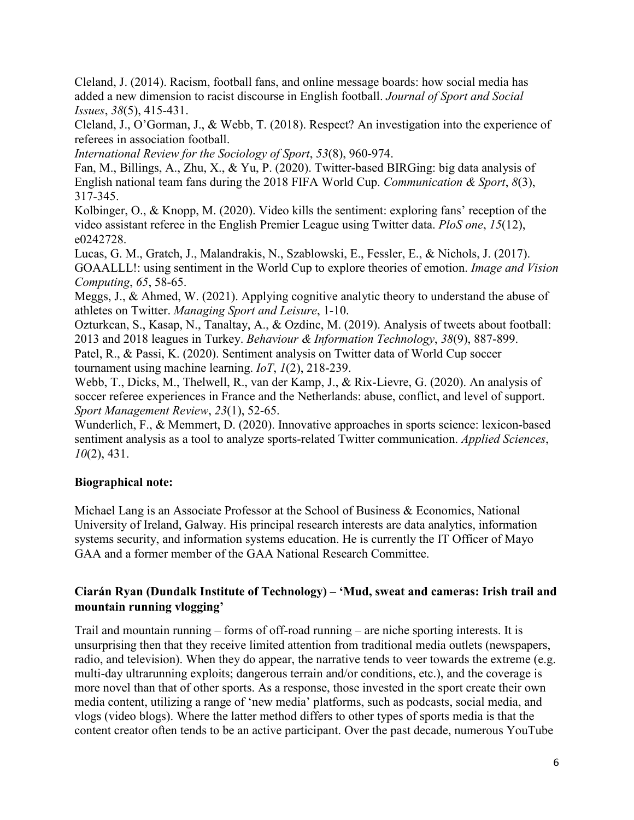Cleland, J. (2014). Racism, football fans, and online message boards: how social media has added a new dimension to racist discourse in English football. *Journal of Sport and Social Issues*, *38*(5), 415-431.

Cleland, J., O'Gorman, J., & Webb, T. (2018). Respect? An investigation into the experience of referees in association football.

*International Review for the Sociology of Sport*, *53*(8), 960-974.

Fan, M., Billings, A., Zhu, X., & Yu, P. (2020). Twitter-based BIRGing: big data analysis of English national team fans during the 2018 FIFA World Cup. *Communication & Sport*, *8*(3), 317-345.

Kolbinger, O., & Knopp, M. (2020). Video kills the sentiment: exploring fans' reception of the video assistant referee in the English Premier League using Twitter data. *PloS one*, *15*(12), e0242728.

Lucas, G. M., Gratch, J., Malandrakis, N., Szablowski, E., Fessler, E., & Nichols, J. (2017). GOAALLL!: using sentiment in the World Cup to explore theories of emotion. *Image and Vision Computing*, *65*, 58-65.

Meggs, J., & Ahmed, W. (2021). Applying cognitive analytic theory to understand the abuse of athletes on Twitter. *Managing Sport and Leisure*, 1-10.

Ozturkcan, S., Kasap, N., Tanaltay, A., & Ozdinc, M. (2019). Analysis of tweets about football: 2013 and 2018 leagues in Turkey. *Behaviour & Information Technology*, *38*(9), 887-899. Patel, R., & Passi, K. (2020). Sentiment analysis on Twitter data of World Cup soccer tournament using machine learning. *IoT*, *1*(2), 218-239.

Webb, T., Dicks, M., Thelwell, R., van der Kamp, J., & Rix-Lievre, G. (2020). An analysis of soccer referee experiences in France and the Netherlands: abuse, conflict, and level of support. *Sport Management Review*, *23*(1), 52-65.

Wunderlich, F., & Memmert, D. (2020). Innovative approaches in sports science: lexicon-based sentiment analysis as a tool to analyze sports-related Twitter communication. *Applied Sciences*, *10*(2), 431.

### **Biographical note:**

Michael Lang is an Associate Professor at the School of Business & Economics, National University of Ireland, Galway. His principal research interests are data analytics, information systems security, and information systems education. He is currently the IT Officer of Mayo GAA and a former member of the GAA National Research Committee.

### **Ciarán Ryan (Dundalk Institute of Technology) – 'Mud, sweat and cameras: Irish trail and mountain running vlogging'**

Trail and mountain running – forms of off-road running – are niche sporting interests. It is unsurprising then that they receive limited attention from traditional media outlets (newspapers, radio, and television). When they do appear, the narrative tends to veer towards the extreme (e.g. multi-day ultrarunning exploits; dangerous terrain and/or conditions, etc.), and the coverage is more novel than that of other sports. As a response, those invested in the sport create their own media content, utilizing a range of 'new media' platforms, such as podcasts, social media, and vlogs (video blogs). Where the latter method differs to other types of sports media is that the content creator often tends to be an active participant. Over the past decade, numerous YouTube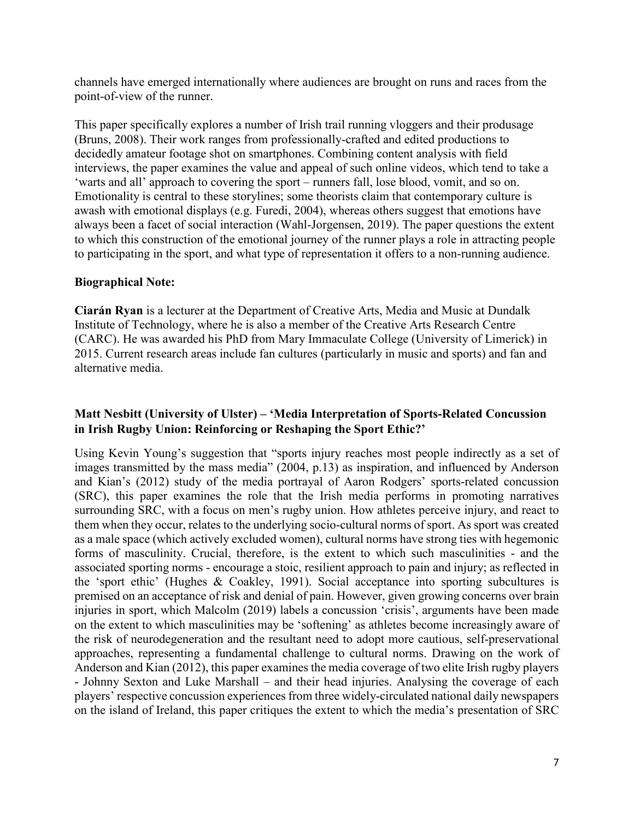channels have emerged internationally where audiences are brought on runs and races from the point-of-view of the runner.

This paper specifically explores a number of Irish trail running vloggers and their produsage (Bruns, 2008). Their work ranges from professionally-crafted and edited productions to decidedly amateur footage shot on smartphones. Combining content analysis with field interviews, the paper examines the value and appeal of such online videos, which tend to take a 'warts and all' approach to covering the sport – runners fall, lose blood, vomit, and so on. Emotionality is central to these storylines; some theorists claim that contemporary culture is awash with emotional displays (e.g. Furedi, 2004), whereas others suggest that emotions have always been a facet of social interaction (Wahl-Jorgensen, 2019). The paper questions the extent to which this construction of the emotional journey of the runner plays a role in attracting people to participating in the sport, and what type of representation it offers to a non-running audience.

#### **Biographical Note:**

**Ciarán Ryan** is a lecturer at the Department of Creative Arts, Media and Music at Dundalk Institute of Technology, where he is also a member of the Creative Arts Research Centre (CARC). He was awarded his PhD from Mary Immaculate College (University of Limerick) in 2015. Current research areas include fan cultures (particularly in music and sports) and fan and alternative media.

### **Matt Nesbitt (University of Ulster) – 'Media Interpretation of Sports-Related Concussion in Irish Rugby Union: Reinforcing or Reshaping the Sport Ethic?'**

Using Kevin Young's suggestion that "sports injury reaches most people indirectly as a set of images transmitted by the mass media" (2004, p.13) as inspiration, and influenced by Anderson and Kian's (2012) study of the media portrayal of Aaron Rodgers' sports-related concussion (SRC), this paper examines the role that the Irish media performs in promoting narratives surrounding SRC, with a focus on men's rugby union. How athletes perceive injury, and react to them when they occur, relates to the underlying socio-cultural norms of sport. As sport was created as a male space (which actively excluded women), cultural norms have strong ties with hegemonic forms of masculinity. Crucial, therefore, is the extent to which such masculinities - and the associated sporting norms - encourage a stoic, resilient approach to pain and injury; as reflected in the 'sport ethic' (Hughes & Coakley, 1991). Social acceptance into sporting subcultures is premised on an acceptance of risk and denial of pain. However, given growing concerns over brain injuries in sport, which Malcolm (2019) labels a concussion 'crisis', arguments have been made on the extent to which masculinities may be 'softening' as athletes become increasingly aware of the risk of neurodegeneration and the resultant need to adopt more cautious, self-preservational approaches, representing a fundamental challenge to cultural norms. Drawing on the work of Anderson and Kian (2012), this paper examines the media coverage of two elite Irish rugby players - Johnny Sexton and Luke Marshall – and their head injuries. Analysing the coverage of each players' respective concussion experiences from three widely-circulated national daily newspapers on the island of Ireland, this paper critiques the extent to which the media's presentation of SRC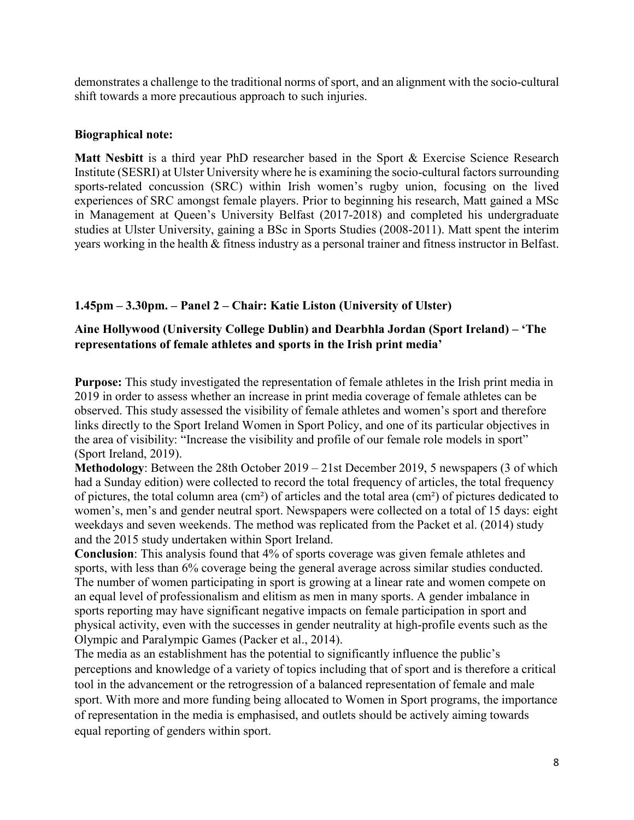demonstrates a challenge to the traditional norms of sport, and an alignment with the socio-cultural shift towards a more precautious approach to such injuries.

#### **Biographical note:**

**Matt Nesbitt** is a third year PhD researcher based in the Sport & Exercise Science Research Institute (SESRI) at Ulster University where he is examining the socio-cultural factors surrounding sports-related concussion (SRC) within Irish women's rugby union, focusing on the lived experiences of SRC amongst female players. Prior to beginning his research, Matt gained a MSc in Management at Queen's University Belfast (2017-2018) and completed his undergraduate studies at Ulster University, gaining a BSc in Sports Studies (2008-2011). Matt spent the interim years working in the health & fitness industry as a personal trainer and fitness instructor in Belfast.

### **1.45pm – 3.30pm. – Panel 2 – Chair: Katie Liston (University of Ulster)**

### **Aine Hollywood (University College Dublin) and Dearbhla Jordan (Sport Ireland) – 'The representations of female athletes and sports in the Irish print media'**

**Purpose:** This study investigated the representation of female athletes in the Irish print media in 2019 in order to assess whether an increase in print media coverage of female athletes can be observed. This study assessed the visibility of female athletes and women's sport and therefore links directly to the Sport Ireland Women in Sport Policy, and one of its particular objectives in the area of visibility: "Increase the visibility and profile of our female role models in sport" (Sport Ireland, 2019).

**Methodology**: Between the 28th October 2019 – 21st December 2019, 5 newspapers (3 of which had a Sunday edition) were collected to record the total frequency of articles, the total frequency of pictures, the total column area (cm²) of articles and the total area (cm²) of pictures dedicated to women's, men's and gender neutral sport. Newspapers were collected on a total of 15 days: eight weekdays and seven weekends. The method was replicated from the Packet et al. (2014) study and the 2015 study undertaken within Sport Ireland.

**Conclusion**: This analysis found that 4% of sports coverage was given female athletes and sports, with less than 6% coverage being the general average across similar studies conducted. The number of women participating in sport is growing at a linear rate and women compete on an equal level of professionalism and elitism as men in many sports. A gender imbalance in sports reporting may have significant negative impacts on female participation in sport and physical activity, even with the successes in gender neutrality at high-profile events such as the Olympic and Paralympic Games (Packer et al., 2014).

The media as an establishment has the potential to significantly influence the public's perceptions and knowledge of a variety of topics including that of sport and is therefore a critical tool in the advancement or the retrogression of a balanced representation of female and male sport. With more and more funding being allocated to Women in Sport programs, the importance of representation in the media is emphasised, and outlets should be actively aiming towards equal reporting of genders within sport.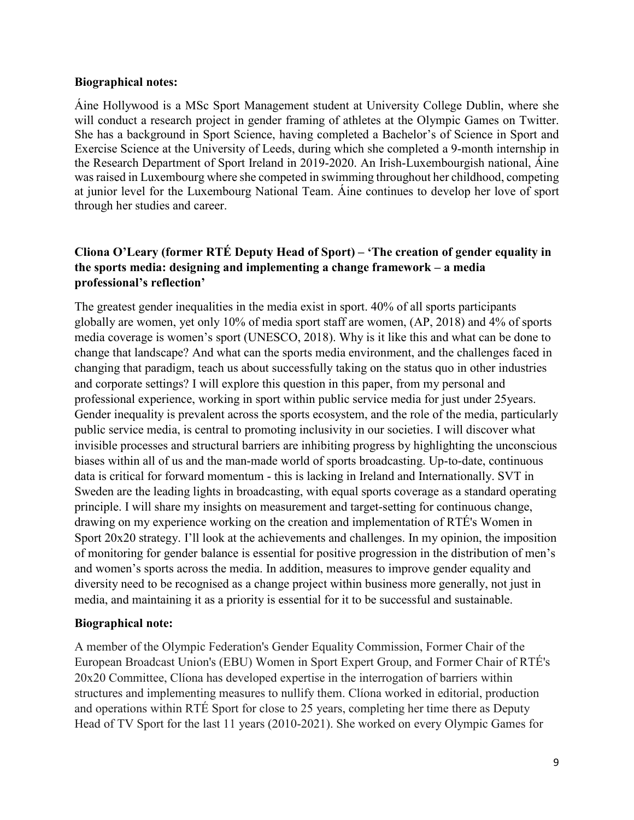#### **Biographical notes:**

Áine Hollywood is a MSc Sport Management student at University College Dublin, where she will conduct a research project in gender framing of athletes at the Olympic Games on Twitter. She has a background in Sport Science, having completed a Bachelor's of Science in Sport and Exercise Science at the University of Leeds, during which she completed a 9-month internship in the Research Department of Sport Ireland in 2019-2020. An Irish-Luxembourgish national, Áine was raised in Luxembourg where she competed in swimming throughout her childhood, competing at junior level for the Luxembourg National Team. Áine continues to develop her love of sport through her studies and career.

### **Cliona O'Leary (former RTÉ Deputy Head of Sport) – 'The creation of gender equality in the sports media: designing and implementing a change framework – a media professional's reflection'**

The greatest gender inequalities in the media exist in sport. 40% of all sports participants globally are women, yet only 10% of media sport staff are women, (AP, 2018) and 4% of sports media coverage is women's sport (UNESCO, 2018). Why is it like this and what can be done to change that landscape? And what can the sports media environment, and the challenges faced in changing that paradigm, teach us about successfully taking on the status quo in other industries and corporate settings? I will explore this question in this paper, from my personal and professional experience, working in sport within public service media for just under 25years. Gender inequality is prevalent across the sports ecosystem, and the role of the media, particularly public service media, is central to promoting inclusivity in our societies. I will discover what invisible processes and structural barriers are inhibiting progress by highlighting the unconscious biases within all of us and the man-made world of sports broadcasting. Up-to-date, continuous data is critical for forward momentum - this is lacking in Ireland and Internationally. SVT in Sweden are the leading lights in broadcasting, with equal sports coverage as a standard operating principle. I will share my insights on measurement and target-setting for continuous change, drawing on my experience working on the creation and implementation of RTÉ's Women in Sport 20x20 strategy. I'll look at the achievements and challenges. In my opinion, the imposition of monitoring for gender balance is essential for positive progression in the distribution of men's and women's sports across the media. In addition, measures to improve gender equality and diversity need to be recognised as a change project within business more generally, not just in media, and maintaining it as a priority is essential for it to be successful and sustainable.

### **Biographical note:**

A member of the Olympic Federation's Gender Equality Commission, Former Chair of the European Broadcast Union's (EBU) Women in Sport Expert Group, and Former Chair of RTÉ's 20x20 Committee, Clíona has developed expertise in the interrogation of barriers within structures and implementing measures to nullify them. Clíona worked in editorial, production and operations within RTÉ Sport for close to 25 years, completing her time there as Deputy Head of TV Sport for the last 11 years (2010-2021). She worked on every Olympic Games for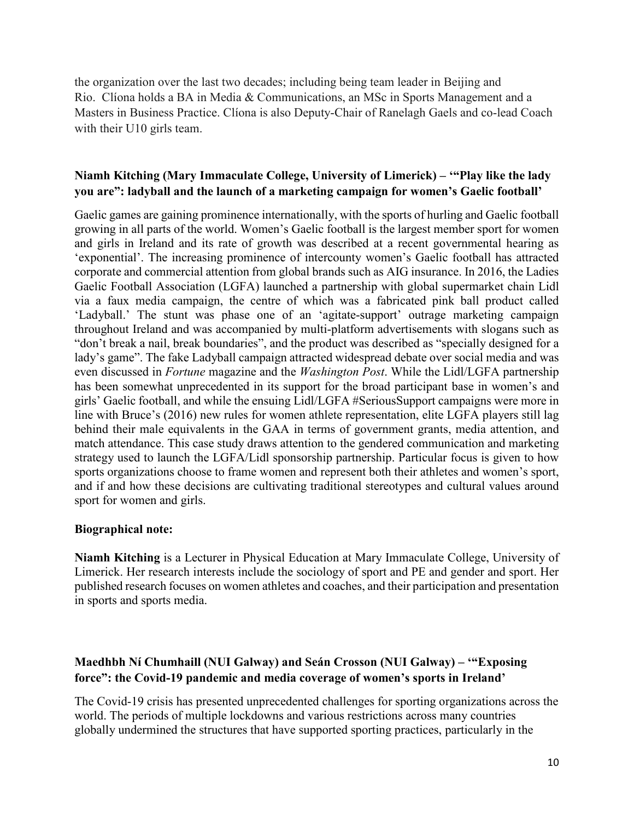the organization over the last two decades; including being team leader in Beijing and Rio. Clíona holds a BA in Media & Communications, an MSc in Sports Management and a Masters in Business Practice. Clíona is also Deputy-Chair of Ranelagh Gaels and co-lead Coach with their U10 girls team.

### **Niamh Kitching (Mary Immaculate College, University of Limerick) – '"Play like the lady you are": ladyball and the launch of a marketing campaign for women's Gaelic football'**

Gaelic games are gaining prominence internationally, with the sports of hurling and Gaelic football growing in all parts of the world. Women's Gaelic football is the largest member sport for women and girls in Ireland and its rate of growth was described at a recent governmental hearing as 'exponential'. The increasing prominence of intercounty women's Gaelic football has attracted corporate and commercial attention from global brands such as AIG insurance. In 2016, the Ladies Gaelic Football Association (LGFA) launched a partnership with global supermarket chain Lidl via a faux media campaign, the centre of which was a fabricated pink ball product called 'Ladyball.' The stunt was phase one of an 'agitate-support' outrage marketing campaign throughout Ireland and was accompanied by multi-platform advertisements with slogans such as "don't break a nail, break boundaries", and the product was described as "specially designed for a lady's game". The fake Ladyball campaign attracted widespread debate over social media and was even discussed in *Fortune* magazine and the *Washington Post*. While the Lidl/LGFA partnership has been somewhat unprecedented in its support for the broad participant base in women's and girls' Gaelic football, and while the ensuing Lidl/LGFA #SeriousSupport campaigns were more in line with Bruce's (2016) new rules for women athlete representation, elite LGFA players still lag behind their male equivalents in the GAA in terms of government grants, media attention, and match attendance. This case study draws attention to the gendered communication and marketing strategy used to launch the LGFA/Lidl sponsorship partnership. Particular focus is given to how sports organizations choose to frame women and represent both their athletes and women's sport, and if and how these decisions are cultivating traditional stereotypes and cultural values around sport for women and girls.

#### **Biographical note:**

**Niamh Kitching** is a Lecturer in Physical Education at Mary Immaculate College, University of Limerick. Her research interests include the sociology of sport and PE and gender and sport. Her published research focuses on women athletes and coaches, and their participation and presentation in sports and sports media.

### **Maedhbh Ní Chumhaill (NUI Galway) and Seán Crosson (NUI Galway) – '"Exposing force": the Covid-19 pandemic and media coverage of women's sports in Ireland'**

The Covid-19 crisis has presented unprecedented challenges for sporting organizations across the world. The periods of multiple lockdowns and various restrictions across many countries globally undermined the structures that have supported sporting practices, particularly in the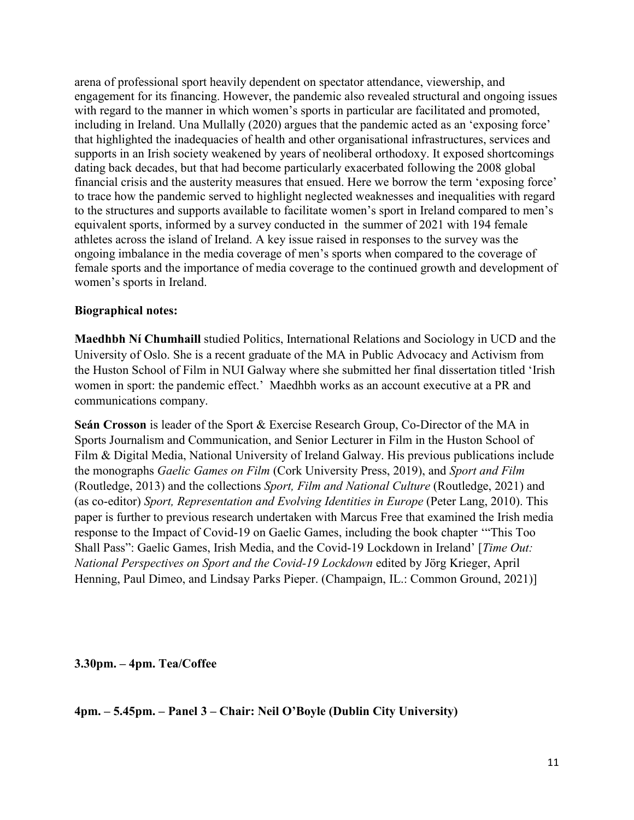arena of professional sport heavily dependent on spectator attendance, viewership, and engagement for its financing. However, the pandemic also revealed structural and ongoing issues with regard to the manner in which women's sports in particular are facilitated and promoted, including in Ireland. Una Mullally (2020) argues that the pandemic acted as an 'exposing force' that highlighted the inadequacies of health and other organisational infrastructures, services and supports in an Irish society weakened by years of neoliberal orthodoxy. It exposed shortcomings dating back decades, but that had become particularly exacerbated following the 2008 global financial crisis and the austerity measures that ensued. Here we borrow the term 'exposing force' to trace how the pandemic served to highlight neglected weaknesses and inequalities with regard to the structures and supports available to facilitate women's sport in Ireland compared to men's equivalent sports, informed by a survey conducted in the summer of 2021 with 194 female athletes across the island of Ireland. A key issue raised in responses to the survey was the ongoing imbalance in the media coverage of men's sports when compared to the coverage of female sports and the importance of media coverage to the continued growth and development of women's sports in Ireland.

#### **Biographical notes:**

**Maedhbh Ní Chumhaill** studied Politics, International Relations and Sociology in UCD and the University of Oslo. She is a recent graduate of the MA in Public Advocacy and Activism from the Huston School of Film in NUI Galway where she submitted her final dissertation titled 'Irish women in sport: the pandemic effect.' Maedhbh works as an account executive at a PR and communications company.

**Seán Crosson** is leader of the Sport & Exercise Research Group, Co-Director of the MA in Sports Journalism and Communication, and Senior Lecturer in Film in the Huston School of Film & Digital Media, National University of Ireland Galway. His previous publications include the monographs *Gaelic Games on Film* (Cork University Press, 2019), and *Sport and Film* (Routledge, 2013) and the collections *Sport, Film and National Culture* (Routledge, 2021) and (as co-editor) *Sport, Representation and Evolving Identities in Europe* (Peter Lang, 2010). This paper is further to previous research undertaken with Marcus Free that examined the Irish media response to the Impact of Covid-19 on Gaelic Games, including the book chapter '"This Too Shall Pass": Gaelic Games, Irish Media, and the Covid-19 Lockdown in Ireland' [*Time Out: National Perspectives on Sport and the Covid-19 Lockdown* edited by Jörg Krieger, April Henning, Paul Dimeo, and Lindsay Parks Pieper. (Champaign, IL.: Common Ground, 2021)]

#### **3.30pm. – 4pm. Tea/Coffee**

**4pm. – 5.45pm. – Panel 3 – Chair: Neil O'Boyle (Dublin City University)**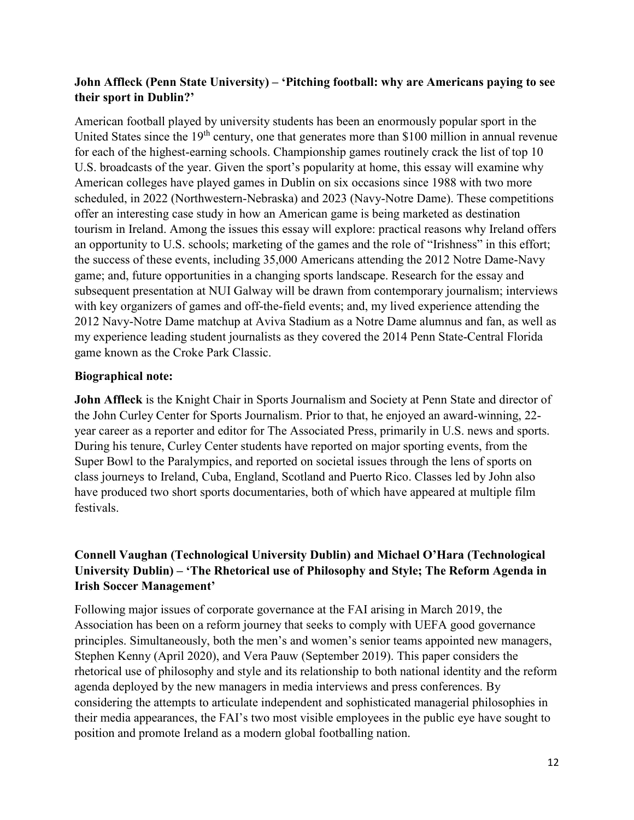### **John Affleck (Penn State University) – 'Pitching football: why are Americans paying to see their sport in Dublin?'**

American football played by university students has been an enormously popular sport in the United States since the 19<sup>th</sup> century, one that generates more than \$100 million in annual revenue for each of the highest-earning schools. Championship games routinely crack the list of top 10 U.S. broadcasts of the year. Given the sport's popularity at home, this essay will examine why American colleges have played games in Dublin on six occasions since 1988 with two more scheduled, in 2022 (Northwestern-Nebraska) and 2023 (Navy-Notre Dame). These competitions offer an interesting case study in how an American game is being marketed as destination tourism in Ireland. Among the issues this essay will explore: practical reasons why Ireland offers an opportunity to U.S. schools; marketing of the games and the role of "Irishness" in this effort; the success of these events, including 35,000 Americans attending the 2012 Notre Dame-Navy game; and, future opportunities in a changing sports landscape. Research for the essay and subsequent presentation at NUI Galway will be drawn from contemporary journalism; interviews with key organizers of games and off-the-field events; and, my lived experience attending the 2012 Navy-Notre Dame matchup at Aviva Stadium as a Notre Dame alumnus and fan, as well as my experience leading student journalists as they covered the 2014 Penn State-Central Florida game known as the Croke Park Classic.

### **Biographical note:**

**John Affleck** is the Knight Chair in Sports Journalism and Society at Penn State and director of the John Curley Center for Sports Journalism. Prior to that, he enjoyed an award-winning, 22 year career as a reporter and editor for The Associated Press, primarily in U.S. news and sports. During his tenure, Curley Center students have reported on major sporting events, from the Super Bowl to the Paralympics, and reported on societal issues through the lens of sports on class journeys to Ireland, Cuba, England, Scotland and Puerto Rico. Classes led by John also have produced two short sports documentaries, both of which have appeared at multiple film festivals.

### **Connell Vaughan (Technological University Dublin) and Michael O'Hara (Technological University Dublin) – 'The Rhetorical use of Philosophy and Style; The Reform Agenda in Irish Soccer Management'**

Following major issues of corporate governance at the FAI arising in March 2019, the Association has been on a reform journey that seeks to comply with UEFA good governance principles. Simultaneously, both the men's and women's senior teams appointed new managers, Stephen Kenny (April 2020), and Vera Pauw (September 2019). This paper considers the rhetorical use of philosophy and style and its relationship to both national identity and the reform agenda deployed by the new managers in media interviews and press conferences. By considering the attempts to articulate independent and sophisticated managerial philosophies in their media appearances, the FAI's two most visible employees in the public eye have sought to position and promote Ireland as a modern global footballing nation.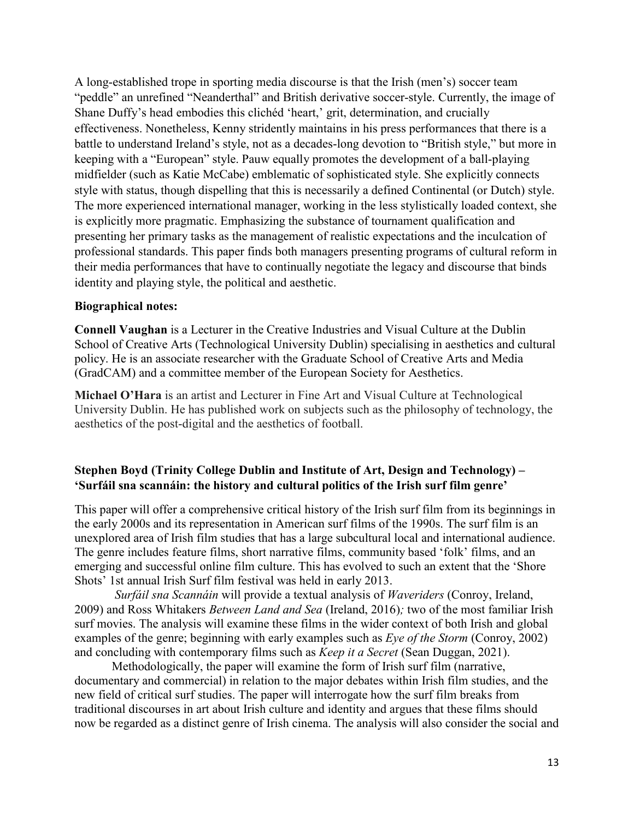A long-established trope in sporting media discourse is that the Irish (men's) soccer team "peddle" an unrefined "Neanderthal" and British derivative soccer-style. Currently, the image of Shane Duffy's head embodies this clichéd 'heart,' grit, determination, and crucially effectiveness. Nonetheless, Kenny stridently maintains in his press performances that there is a battle to understand Ireland's style, not as a decades-long devotion to "British style," but more in keeping with a "European" style. Pauw equally promotes the development of a ball-playing midfielder (such as Katie McCabe) emblematic of sophisticated style. She explicitly connects style with status, though dispelling that this is necessarily a defined Continental (or Dutch) style. The more experienced international manager, working in the less stylistically loaded context, she is explicitly more pragmatic. Emphasizing the substance of tournament qualification and presenting her primary tasks as the management of realistic expectations and the inculcation of professional standards. This paper finds both managers presenting programs of cultural reform in their media performances that have to continually negotiate the legacy and discourse that binds identity and playing style, the political and aesthetic.

#### **Biographical notes:**

**Connell Vaughan** is a Lecturer in the Creative Industries and Visual Culture at the Dublin School of Creative Arts (Technological University Dublin) specialising in aesthetics and cultural policy. He is an associate researcher with the Graduate School of Creative Arts and Media (GradCAM) and a committee member of the European Society for Aesthetics.

**Michael O'Hara** is an artist and Lecturer in Fine Art and Visual Culture at Technological University Dublin. He has published work on subjects such as the philosophy of technology, the aesthetics of the post-digital and the aesthetics of football.

### **Stephen Boyd (Trinity College Dublin and Institute of Art, Design and Technology) – 'Surfáil sna scannáin: the history and cultural politics of the Irish surf film genre'**

This paper will offer a comprehensive critical history of the Irish surf film from its beginnings in the early 2000s and its representation in American surf films of the 1990s. The surf film is an unexplored area of Irish film studies that has a large subcultural local and international audience. The genre includes feature films, short narrative films, community based 'folk' films, and an emerging and successful online film culture. This has evolved to such an extent that the 'Shore Shots' 1st annual Irish Surf film festival was held in early 2013.

*Surfáil sna Scannáin* will provide a textual analysis of *Waveriders* (Conroy, Ireland, 2009) and Ross Whitakers *Between Land and Sea* (Ireland, 2016)*;* two of the most familiar Irish surf movies. The analysis will examine these films in the wider context of both Irish and global examples of the genre; beginning with early examples such as *Eye of the Storm* (Conroy, 2002) and concluding with contemporary films such as *Keep it a Secret* (Sean Duggan, 2021).

Methodologically, the paper will examine the form of Irish surf film (narrative, documentary and commercial) in relation to the major debates within Irish film studies, and the new field of critical surf studies. The paper will interrogate how the surf film breaks from traditional discourses in art about Irish culture and identity and argues that these films should now be regarded as a distinct genre of Irish cinema. The analysis will also consider the social and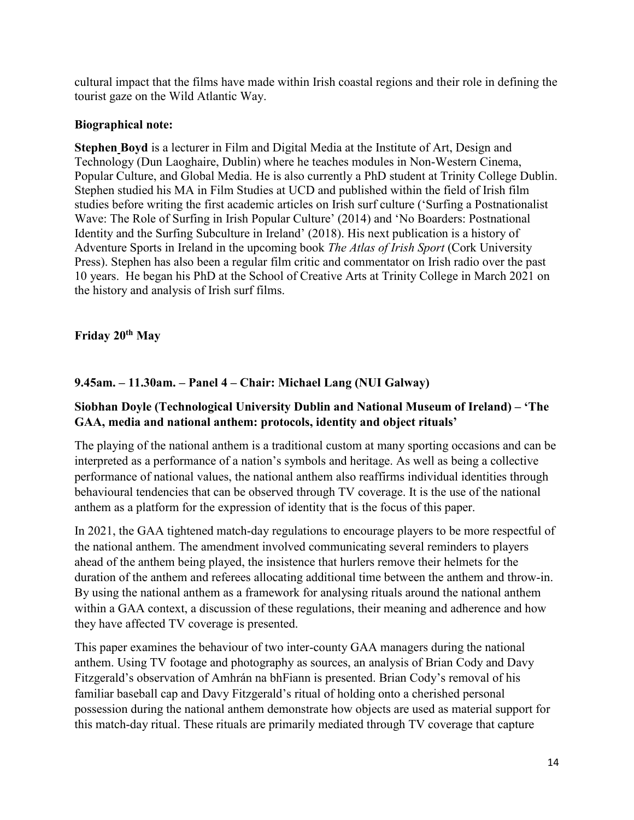cultural impact that the films have made within Irish coastal regions and their role in defining the tourist gaze on the Wild Atlantic Way.

### **Biographical note:**

**Stephen Boyd** is a lecturer in Film and Digital Media at the Institute of Art, Design and Technology (Dun Laoghaire, Dublin) where he teaches modules in Non-Western Cinema, Popular Culture, and Global Media. He is also currently a PhD student at Trinity College Dublin. Stephen studied his MA in Film Studies at UCD and published within the field of Irish film studies before writing the first academic articles on Irish surf culture ('Surfing a Postnationalist Wave: The Role of Surfing in Irish Popular Culture' (2014) and 'No Boarders: Postnational Identity and the Surfing Subculture in Ireland' (2018). His next publication is a history of Adventure Sports in Ireland in the upcoming book *The Atlas of Irish Sport* (Cork University Press). Stephen has also been a regular film critic and commentator on Irish radio over the past 10 years. He began his PhD at the School of Creative Arts at Trinity College in March 2021 on the history and analysis of Irish surf films.

**Friday 20th May**

### **9.45am. – 11.30am. – Panel 4 – Chair: Michael Lang (NUI Galway)**

### **Siobhan Doyle (Technological University Dublin and National Museum of Ireland) – 'The GAA, media and national anthem: protocols, identity and object rituals'**

The playing of the national anthem is a traditional custom at many sporting occasions and can be interpreted as a performance of a nation's symbols and heritage. As well as being a collective performance of national values, the national anthem also reaffirms individual identities through behavioural tendencies that can be observed through TV coverage. It is the use of the national anthem as a platform for the expression of identity that is the focus of this paper.

In 2021, the GAA tightened match-day regulations to encourage players to be more respectful of the national anthem. The amendment involved communicating several reminders to players ahead of the anthem being played, the insistence that hurlers remove their helmets for the duration of the anthem and referees allocating additional time between the anthem and throw-in. By using the national anthem as a framework for analysing rituals around the national anthem within a GAA context, a discussion of these regulations, their meaning and adherence and how they have affected TV coverage is presented.

This paper examines the behaviour of two inter-county GAA managers during the national anthem. Using TV footage and photography as sources, an analysis of Brian Cody and Davy Fitzgerald's observation of Amhrán na bhFiann is presented. Brian Cody's removal of his familiar baseball cap and Davy Fitzgerald's ritual of holding onto a cherished personal possession during the national anthem demonstrate how objects are used as material support for this match-day ritual. These rituals are primarily mediated through TV coverage that capture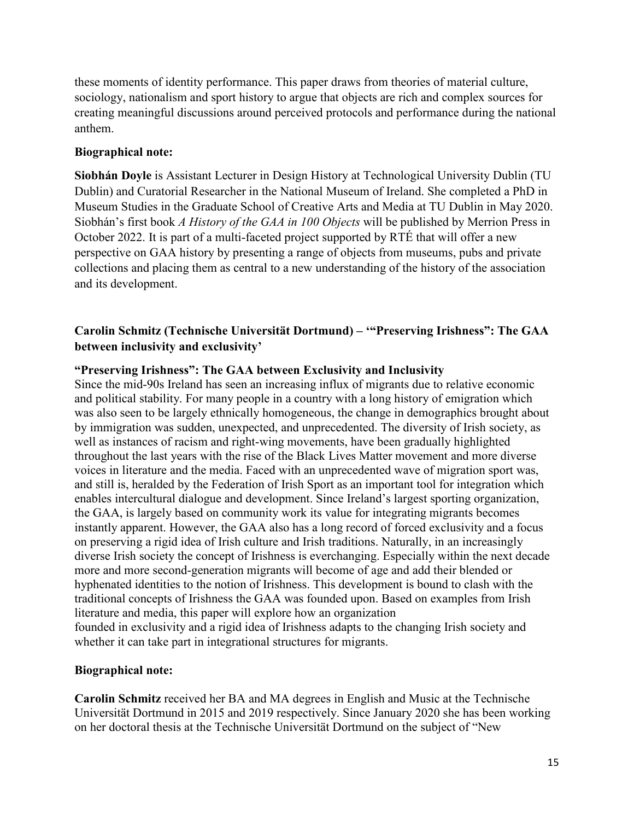these moments of identity performance. This paper draws from theories of material culture, sociology, nationalism and sport history to argue that objects are rich and complex sources for creating meaningful discussions around perceived protocols and performance during the national anthem.

#### **Biographical note:**

**Siobhán Doyle** is Assistant Lecturer in Design History at Technological University Dublin (TU Dublin) and Curatorial Researcher in the National Museum of Ireland. She completed a PhD in Museum Studies in the Graduate School of Creative Arts and Media at TU Dublin in May 2020. Siobhán's first book *A History of the GAA in 100 Objects* will be published by Merrion Press in October 2022. It is part of a multi-faceted project supported by RTÉ that will offer a new perspective on GAA history by presenting a range of objects from museums, pubs and private collections and placing them as central to a new understanding of the history of the association and its development.

### **Carolin Schmitz (Technische Universität Dortmund) – '"Preserving Irishness": The GAA between inclusivity and exclusivity'**

#### **"Preserving Irishness": The GAA between Exclusivity and Inclusivity**

Since the mid-90s Ireland has seen an increasing influx of migrants due to relative economic and political stability. For many people in a country with a long history of emigration which was also seen to be largely ethnically homogeneous, the change in demographics brought about by immigration was sudden, unexpected, and unprecedented. The diversity of Irish society, as well as instances of racism and right-wing movements, have been gradually highlighted throughout the last years with the rise of the Black Lives Matter movement and more diverse voices in literature and the media. Faced with an unprecedented wave of migration sport was, and still is, heralded by the Federation of Irish Sport as an important tool for integration which enables intercultural dialogue and development. Since Ireland's largest sporting organization, the GAA, is largely based on community work its value for integrating migrants becomes instantly apparent. However, the GAA also has a long record of forced exclusivity and a focus on preserving a rigid idea of Irish culture and Irish traditions. Naturally, in an increasingly diverse Irish society the concept of Irishness is everchanging. Especially within the next decade more and more second-generation migrants will become of age and add their blended or hyphenated identities to the notion of Irishness. This development is bound to clash with the traditional concepts of Irishness the GAA was founded upon. Based on examples from Irish literature and media, this paper will explore how an organization founded in exclusivity and a rigid idea of Irishness adapts to the changing Irish society and whether it can take part in integrational structures for migrants.

#### **Biographical note:**

**Carolin Schmitz** received her BA and MA degrees in English and Music at the Technische Universität Dortmund in 2015 and 2019 respectively. Since January 2020 she has been working on her doctoral thesis at the Technische Universität Dortmund on the subject of "New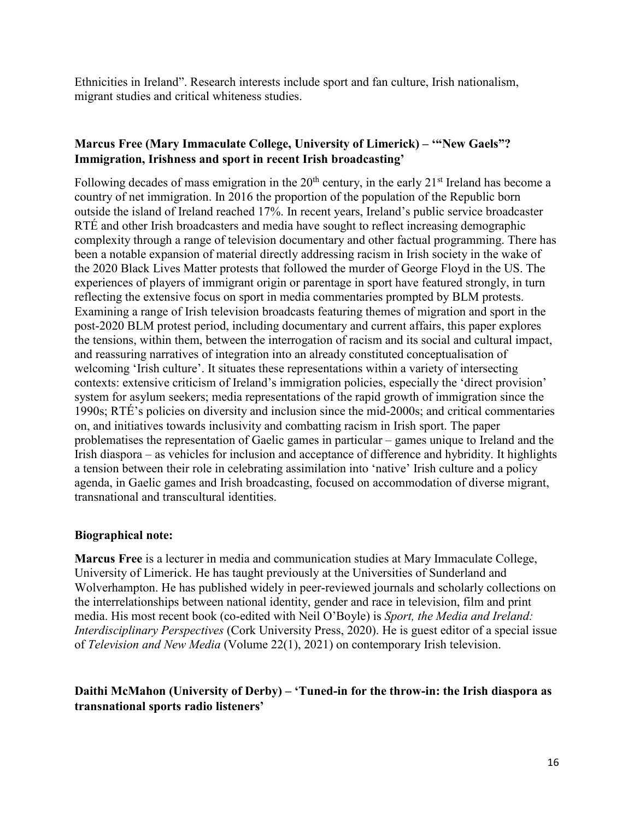Ethnicities in Ireland". Research interests include sport and fan culture, Irish nationalism, migrant studies and critical whiteness studies.

### **Marcus Free (Mary Immaculate College, University of Limerick) – '"New Gaels"? Immigration, Irishness and sport in recent Irish broadcasting'**

Following decades of mass emigration in the  $20<sup>th</sup>$  century, in the early  $21<sup>st</sup>$  Ireland has become a country of net immigration. In 2016 the proportion of the population of the Republic born outside the island of Ireland reached 17%. In recent years, Ireland's public service broadcaster RTÉ and other Irish broadcasters and media have sought to reflect increasing demographic complexity through a range of television documentary and other factual programming. There has been a notable expansion of material directly addressing racism in Irish society in the wake of the 2020 Black Lives Matter protests that followed the murder of George Floyd in the US. The experiences of players of immigrant origin or parentage in sport have featured strongly, in turn reflecting the extensive focus on sport in media commentaries prompted by BLM protests. Examining a range of Irish television broadcasts featuring themes of migration and sport in the post-2020 BLM protest period, including documentary and current affairs, this paper explores the tensions, within them, between the interrogation of racism and its social and cultural impact, and reassuring narratives of integration into an already constituted conceptualisation of welcoming 'Irish culture'. It situates these representations within a variety of intersecting contexts: extensive criticism of Ireland's immigration policies, especially the 'direct provision' system for asylum seekers; media representations of the rapid growth of immigration since the 1990s; RTÉ's policies on diversity and inclusion since the mid-2000s; and critical commentaries on, and initiatives towards inclusivity and combatting racism in Irish sport. The paper problematises the representation of Gaelic games in particular – games unique to Ireland and the Irish diaspora – as vehicles for inclusion and acceptance of difference and hybridity. It highlights a tension between their role in celebrating assimilation into 'native' Irish culture and a policy agenda, in Gaelic games and Irish broadcasting, focused on accommodation of diverse migrant, transnational and transcultural identities.

#### **Biographical note:**

**Marcus Free** is a lecturer in media and communication studies at Mary Immaculate College, University of Limerick. He has taught previously at the Universities of Sunderland and Wolverhampton. He has published widely in peer-reviewed journals and scholarly collections on the interrelationships between national identity, gender and race in television, film and print media. His most recent book (co-edited with Neil O'Boyle) is *Sport, the Media and Ireland: Interdisciplinary Perspectives* (Cork University Press, 2020). He is guest editor of a special issue of *Television and New Media* (Volume 22(1), 2021) on contemporary Irish television.

### **Daithi McMahon (University of Derby) – 'Tuned-in for the throw-in: the Irish diaspora as transnational sports radio listeners'**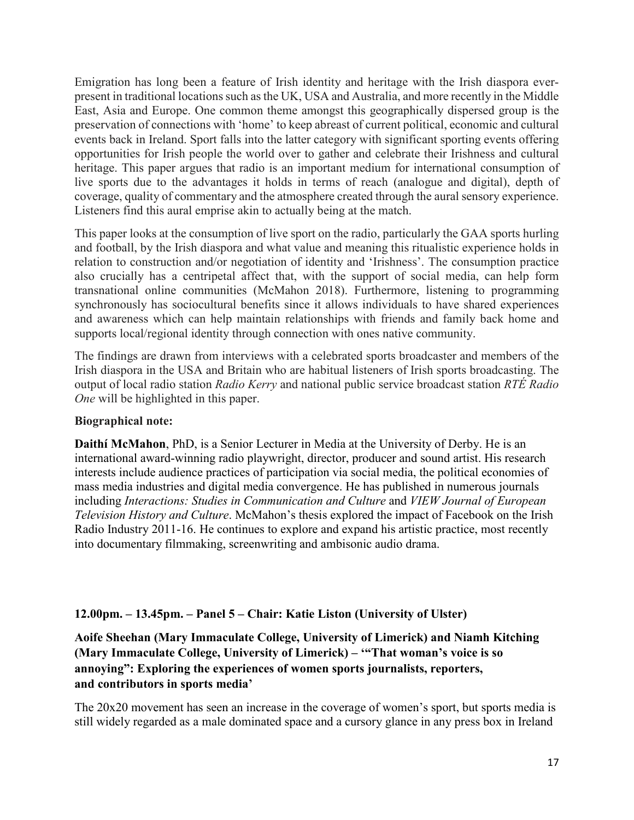Emigration has long been a feature of Irish identity and heritage with the Irish diaspora everpresent in traditional locations such as the UK, USA and Australia, and more recently in the Middle East, Asia and Europe. One common theme amongst this geographically dispersed group is the preservation of connections with 'home' to keep abreast of current political, economic and cultural events back in Ireland. Sport falls into the latter category with significant sporting events offering opportunities for Irish people the world over to gather and celebrate their Irishness and cultural heritage. This paper argues that radio is an important medium for international consumption of live sports due to the advantages it holds in terms of reach (analogue and digital), depth of coverage, quality of commentary and the atmosphere created through the aural sensory experience. Listeners find this aural emprise akin to actually being at the match.

This paper looks at the consumption of live sport on the radio, particularly the GAA sports hurling and football, by the Irish diaspora and what value and meaning this ritualistic experience holds in relation to construction and/or negotiation of identity and 'Irishness'. The consumption practice also crucially has a centripetal affect that, with the support of social media, can help form transnational online communities (McMahon 2018). Furthermore, listening to programming synchronously has sociocultural benefits since it allows individuals to have shared experiences and awareness which can help maintain relationships with friends and family back home and supports local/regional identity through connection with ones native community.

The findings are drawn from interviews with a celebrated sports broadcaster and members of the Irish diaspora in the USA and Britain who are habitual listeners of Irish sports broadcasting. The output of local radio station *Radio Kerry* and national public service broadcast station *RTÉ Radio One* will be highlighted in this paper.

### **Biographical note:**

**Daithí McMahon**, PhD, is a Senior Lecturer in Media at the University of Derby. He is an international award-winning radio playwright, director, producer and sound artist. His research interests include audience practices of participation via social media, the political economies of mass media industries and digital media convergence. He has published in numerous journals including *Interactions: Studies in Communication and Culture* and *VIEW Journal of European Television History and Culture*. McMahon's thesis explored the impact of Facebook on the Irish Radio Industry 2011-16. He continues to explore and expand his artistic practice, most recently into documentary filmmaking, screenwriting and ambisonic audio drama.

### **12.00pm. – 13.45pm. – Panel 5 – Chair: Katie Liston (University of Ulster)**

**Aoife Sheehan (Mary Immaculate College, University of Limerick) and Niamh Kitching (Mary Immaculate College, University of Limerick) – '"That woman's voice is so annoying": Exploring the experiences of women sports journalists, reporters, and contributors in sports media'**

The 20x20 movement has seen an increase in the coverage of women's sport, but sports media is still widely regarded as a male dominated space and a cursory glance in any press box in Ireland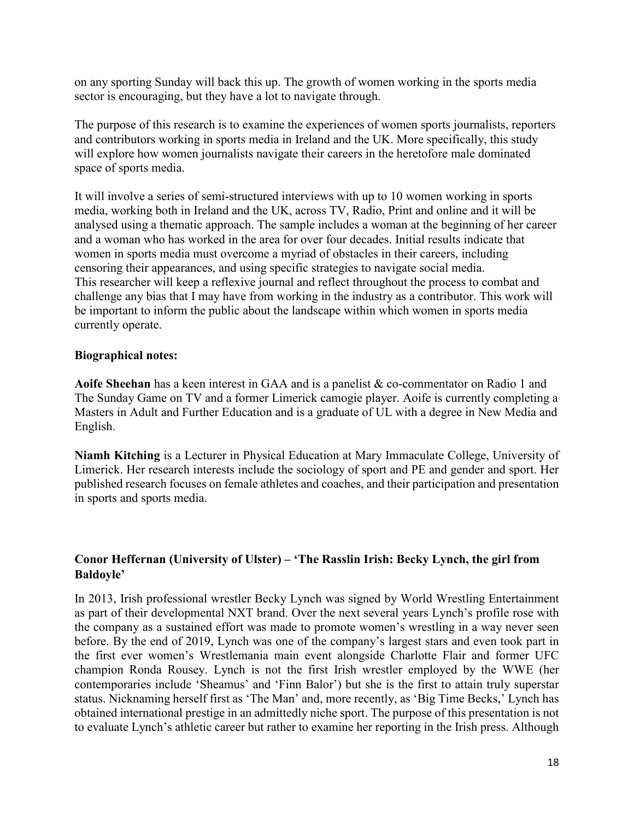on any sporting Sunday will back this up. The growth of women working in the sports media sector is encouraging, but they have a lot to navigate through.

The purpose of this research is to examine the experiences of women sports journalists, reporters and contributors working in sports media in Ireland and the UK. More specifically, this study will explore how women journalists navigate their careers in the heretofore male dominated space of sports media.

It will involve a series of semi-structured interviews with up to 10 women working in sports media, working both in Ireland and the UK, across TV, Radio, Print and online and it will be analysed using a thematic approach. The sample includes a woman at the beginning of her career and a woman who has worked in the area for over four decades. Initial results indicate that women in sports media must overcome a myriad of obstacles in their careers, including censoring their appearances, and using specific strategies to navigate social media. This researcher will keep a reflexive journal and reflect throughout the process to combat and challenge any bias that I may have from working in the industry as a contributor. This work will be important to inform the public about the landscape within which women in sports media currently operate.

#### **Biographical notes:**

**Aoife Sheehan** has a keen interest in GAA and is a panelist & co-commentator on Radio 1 and The Sunday Game on TV and a former Limerick camogie player. Aoife is currently completing a Masters in Adult and Further Education and is a graduate of UL with a degree in New Media and English.

**Niamh Kitching** is a Lecturer in Physical Education at Mary Immaculate College, University of Limerick. Her research interests include the sociology of sport and PE and gender and sport. Her published research focuses on female athletes and coaches, and their participation and presentation in sports and sports media.

#### **Conor Heffernan (University of Ulster) – 'The Rasslin Irish: Becky Lynch, the girl from Baldoyle'**

In 2013, Irish professional wrestler Becky Lynch was signed by World Wrestling Entertainment as part of their developmental NXT brand. Over the next several years Lynch's profile rose with the company as a sustained effort was made to promote women's wrestling in a way never seen before. By the end of 2019, Lynch was one of the company's largest stars and even took part in the first ever women's Wrestlemania main event alongside Charlotte Flair and former UFC champion Ronda Rousey. Lynch is not the first Irish wrestler employed by the WWE (her contemporaries include 'Sheamus' and 'Finn Balor') but she is the first to attain truly superstar status. Nicknaming herself first as 'The Man' and, more recently, as 'Big Time Becks,' Lynch has obtained international prestige in an admittedly niche sport. The purpose of this presentation is not to evaluate Lynch's athletic career but rather to examine her reporting in the Irish press. Although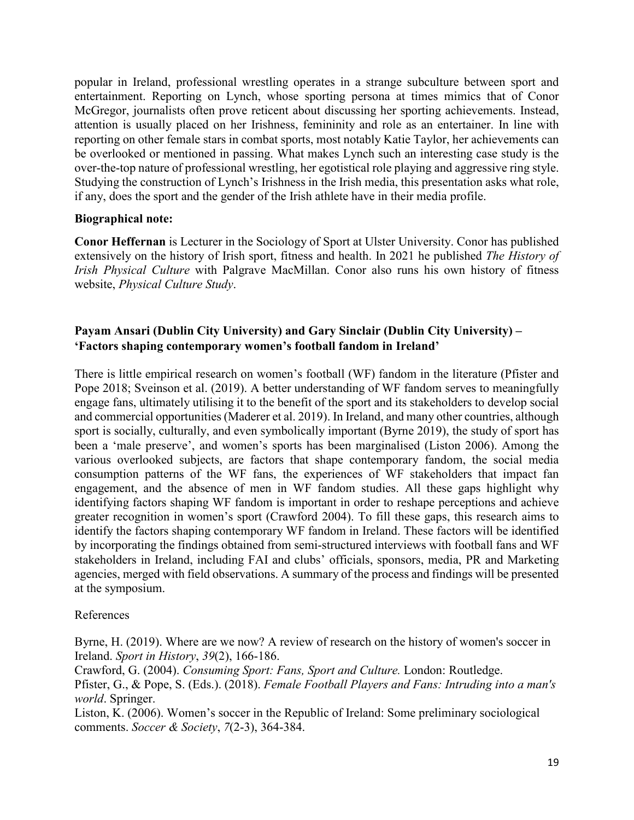popular in Ireland, professional wrestling operates in a strange subculture between sport and entertainment. Reporting on Lynch, whose sporting persona at times mimics that of Conor McGregor, journalists often prove reticent about discussing her sporting achievements. Instead, attention is usually placed on her Irishness, femininity and role as an entertainer. In line with reporting on other female stars in combat sports, most notably Katie Taylor, her achievements can be overlooked or mentioned in passing. What makes Lynch such an interesting case study is the over-the-top nature of professional wrestling, her egotistical role playing and aggressive ring style. Studying the construction of Lynch's Irishness in the Irish media, this presentation asks what role, if any, does the sport and the gender of the Irish athlete have in their media profile.

#### **Biographical note:**

**Conor Heffernan** is Lecturer in the Sociology of Sport at Ulster University. Conor has published extensively on the history of Irish sport, fitness and health. In 2021 he published *The History of Irish Physical Culture* with Palgrave MacMillan. Conor also runs his own history of fitness website, *Physical Culture Study*.

### **Payam Ansari (Dublin City University) and Gary Sinclair (Dublin City University) – 'Factors shaping contemporary women's football fandom in Ireland'**

There is little empirical research on women's football (WF) fandom in the literature (Pfister and Pope 2018; Sveinson et al. (2019). A better understanding of WF fandom serves to meaningfully engage fans, ultimately utilising it to the benefit of the sport and its stakeholders to develop social and commercial opportunities(Maderer et al. 2019). In Ireland, and many other countries, although sport is socially, culturally, and even symbolically important (Byrne 2019), the study of sport has been a 'male preserve', and women's sports has been marginalised (Liston 2006). Among the various overlooked subjects, are factors that shape contemporary fandom, the social media consumption patterns of the WF fans, the experiences of WF stakeholders that impact fan engagement, and the absence of men in WF fandom studies. All these gaps highlight why identifying factors shaping WF fandom is important in order to reshape perceptions and achieve greater recognition in women's sport (Crawford 2004). To fill these gaps, this research aims to identify the factors shaping contemporary WF fandom in Ireland. These factors will be identified by incorporating the findings obtained from semi-structured interviews with football fans and WF stakeholders in Ireland, including FAI and clubs' officials, sponsors, media, PR and Marketing agencies, merged with field observations. A summary of the process and findings will be presented at the symposium.

### References

Byrne, H. (2019). Where are we now? A review of research on the history of women's soccer in Ireland. *Sport in History*, *39*(2), 166-186.

Crawford, G. (2004). *Consuming Sport: Fans, Sport and Culture.* London: Routledge. Pfister, G., & Pope, S. (Eds.). (2018). *Female Football Players and Fans: Intruding into a man's world*. Springer.

Liston, K. (2006). Women's soccer in the Republic of Ireland: Some preliminary sociological comments. *Soccer & Society*, *7*(2-3), 364-384.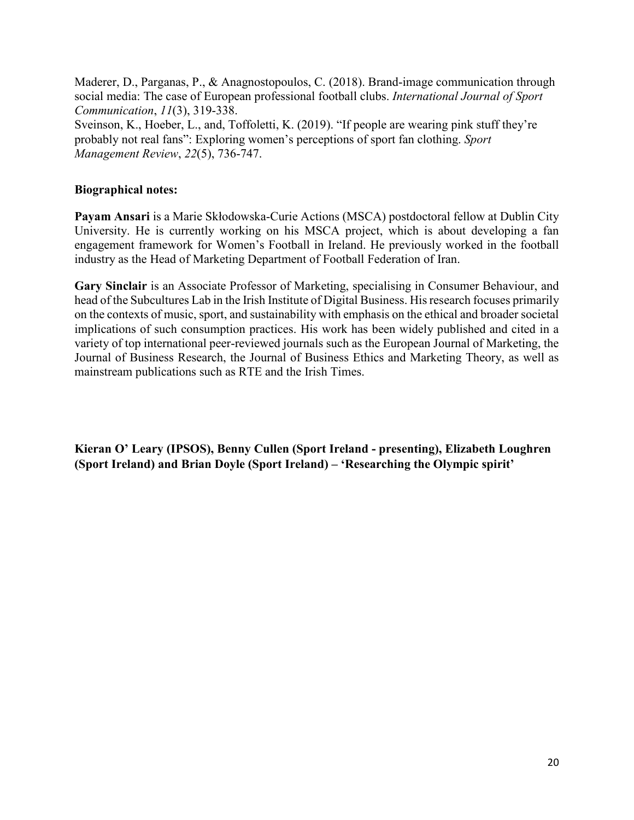Maderer, D., Parganas, P., & Anagnostopoulos, C. (2018). Brand-image communication through social media: The case of European professional football clubs. *International Journal of Sport Communication*, *11*(3), 319-338. Sveinson, K., Hoeber, L., and, Toffoletti, K. (2019). "If people are wearing pink stuff they're probably not real fans": Exploring women's perceptions of sport fan clothing. *Sport* 

*Management Review*, *22*(5), 736-747.

### **Biographical notes:**

**Payam Ansari** is a Marie Skłodowska-Curie Actions (MSCA) postdoctoral fellow at Dublin City University. He is currently working on his MSCA project, which is about developing a fan engagement framework for Women's Football in Ireland. He previously worked in the football industry as the Head of Marketing Department of Football Federation of Iran.

**Gary Sinclair** is an Associate Professor of Marketing, specialising in Consumer Behaviour, and head of the Subcultures Lab in the Irish Institute of Digital Business. His research focuses primarily on the contexts of music, sport, and sustainability with emphasis on the ethical and broader societal implications of such consumption practices. His work has been widely published and cited in a variety of top international peer-reviewed journals such as the European Journal of Marketing, the Journal of Business Research, the Journal of Business Ethics and Marketing Theory, as well as mainstream publications such as RTE and the Irish Times.

**Kieran O' Leary (IPSOS), Benny Cullen (Sport Ireland - presenting), Elizabeth Loughren (Sport Ireland) and Brian Doyle (Sport Ireland) – 'Researching the Olympic spirit'**